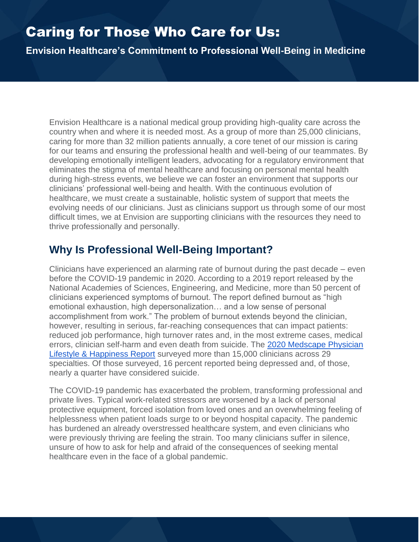# Caring for Those Who Care for Us:

**Envision Healthcare's Commitment to Professional Well-Being in Medicine**

Envision Healthcare is a national medical group providing high-quality care across the country when and where it is needed most. As a group of more than 25,000 clinicians, caring for more than 32 million patients annually, a core tenet of our mission is caring for our teams and ensuring the professional health and well-being of our teammates. By developing emotionally intelligent leaders, advocating for a regulatory environment that eliminates the stigma of mental healthcare and focusing on personal mental health during high-stress events, we believe we can foster an environment that supports our clinicians' professional well-being and health. With the continuous evolution of healthcare, we must create a sustainable, holistic system of support that meets the evolving needs of our clinicians. Just as clinicians support us through some of our most difficult times, we at Envision are supporting clinicians with the resources they need to thrive professionally and personally.

## **Why Is Professional Well-Being Important?**

Clinicians have experienced an alarming rate of burnout during the past decade – even before the COVID-19 pandemic in 2020. According to a 2019 report released by the National Academies of Sciences, Engineering, and Medicine, more than 50 percent of clinicians experienced symptoms of burnout. The report defined burnout as "high emotional exhaustion, high depersonalization… and a low sense of personal accomplishment from work." The problem of burnout extends beyond the clinician, however, resulting in serious, far-reaching consequences that can impact patients: reduced job performance, high turnover rates and, in the most extreme cases, medical errors, clinician self-harm and even death from suicide. The [2020 Medscape Physician](https://www.medscape.com/slideshow/2020-lifestyle-happiness-6012424)  [Lifestyle & Happiness Report](https://www.medscape.com/slideshow/2020-lifestyle-happiness-6012424) surveyed more than 15,000 clinicians across 29 specialties. Of those surveyed, 16 percent reported being depressed and, of those, nearly a quarter have considered suicide.

The COVID-19 pandemic has exacerbated the problem, transforming professional and private lives. Typical work-related stressors are worsened by a lack of personal protective equipment, forced isolation from loved ones and an overwhelming feeling of helplessness when patient loads surge to or beyond hospital capacity. The pandemic has burdened an already overstressed healthcare system, and even clinicians who were previously thriving are feeling the strain. Too many clinicians suffer in silence, unsure of how to ask for help and afraid of the consequences of seeking mental healthcare even in the face of a global pandemic.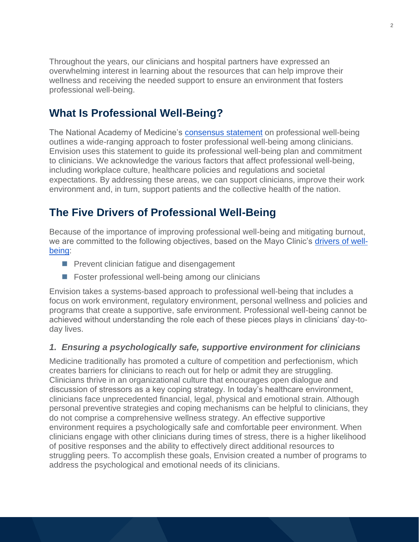Throughout the years, our clinicians and hospital partners have expressed an overwhelming interest in learning about the resources that can help improve their wellness and receiving the needed support to ensure an environment that fosters professional well-being.

## **What Is Professional Well-Being?**

The National Academy of Medicine's [consensus statement](https://nam.edu/systems-approaches-to-improve-patient-care-by-supporting-clinician-well-being/) on professional well-being outlines a wide-ranging approach to foster professional well-being among clinicians. Envision uses this statement to guide its professional well-being plan and commitment to clinicians. We acknowledge the various factors that affect professional well-being, including workplace culture, healthcare policies and regulations and societal expectations. By addressing these areas, we can support clinicians, improve their work environment and, in turn, support patients and the collective health of the nation.

## **The Five Drivers of Professional Well-Being**

Because of the importance of improving professional well-being and mitigating burnout, we are committed to the following objectives, based on the Mayo Clinic's [drivers of well](https://www.mayoclinicproceedings.org/article/S0025-6196(16)30625-5/pdf)[being:](https://www.mayoclinicproceedings.org/article/S0025-6196(16)30625-5/pdf)

- Prevent clinician fatigue and disengagement
- Foster professional well-being among our clinicians

Envision takes a systems-based approach to professional well-being that includes a focus on work environment, regulatory environment, personal wellness and policies and programs that create a supportive, safe environment. Professional well-being cannot be achieved without understanding the role each of these pieces plays in clinicians' day-today lives.

### *1. Ensuring a psychologically safe, supportive environment for clinicians*

Medicine traditionally has promoted a culture of competition and perfectionism, which creates barriers for clinicians to reach out for help or admit they are struggling. Clinicians thrive in an organizational culture that encourages open dialogue and discussion of stressors as a key coping strategy. In today's healthcare environment, clinicians face unprecedented financial, legal, physical and emotional strain. Although personal preventive strategies and coping mechanisms can be helpful to clinicians, they do not comprise a comprehensive wellness strategy. An effective supportive environment requires a psychologically safe and comfortable peer environment. When clinicians engage with other clinicians during times of stress, there is a higher likelihood of positive responses and the ability to effectively direct additional resources to struggling peers. To accomplish these goals, Envision created a number of programs to address the psychological and emotional needs of its clinicians.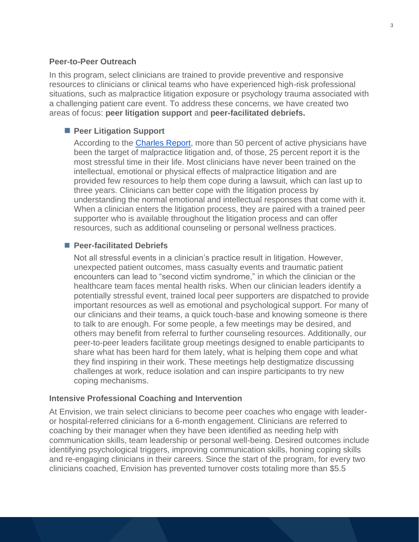#### **Peer-to-Peer Outreach**

In this program, select clinicians are trained to provide preventive and responsive resources to clinicians or clinical teams who have experienced high-risk professional situations, such as malpractice litigation exposure or psychology trauma associated with a challenging patient care event. To address these concerns, we have created two areas of focus: **peer litigation support** and **peer-facilitated debriefs.**

#### ■ Peer Litigation Support

According to the [Charles Report,](https://ajp.psychiatryonline.org/doi/abs/10.1176/ajp.141.4.563) more than 50 percent of active physicians have been the target of malpractice litigation and, of those, 25 percent report it is the most stressful time in their life. Most clinicians have never been trained on the intellectual, emotional or physical effects of malpractice litigation and are provided few resources to help them cope during a lawsuit, which can last up to three years. Clinicians can better cope with the litigation process by understanding the normal emotional and intellectual responses that come with it. When a clinician enters the litigation process, they are paired with a trained peer supporter who is available throughout the litigation process and can offer resources, such as additional counseling or personal wellness practices.

#### ■ Peer-facilitated Debriefs

Not all stressful events in a clinician's practice result in litigation. However, unexpected patient outcomes, mass casualty events and traumatic patient encounters can lead to "second victim syndrome," in which the clinician or the healthcare team faces mental health risks. When our clinician leaders identify a potentially stressful event, trained local peer supporters are dispatched to provide important resources as well as emotional and psychological support. For many of our clinicians and their teams, a quick touch-base and knowing someone is there to talk to are enough. For some people, a few meetings may be desired, and others may benefit from referral to further counseling resources. Additionally, our peer-to-peer leaders facilitate group meetings designed to enable participants to share what has been hard for them lately, what is helping them cope and what they find inspiring in their work. These meetings help destigmatize discussing challenges at work, reduce isolation and can inspire participants to try new coping mechanisms.

#### **Intensive Professional Coaching and Intervention**

At Envision, we train select clinicians to become peer coaches who engage with leaderor hospital-referred clinicians for a 6-month engagement. Clinicians are referred to coaching by their manager when they have been identified as needing help with communication skills, team leadership or personal well-being. Desired outcomes include identifying psychological triggers, improving communication skills, honing coping skills and re-engaging clinicians in their careers. Since the start of the program, for every two clinicians coached, Envision has prevented turnover costs totaling more than \$5.5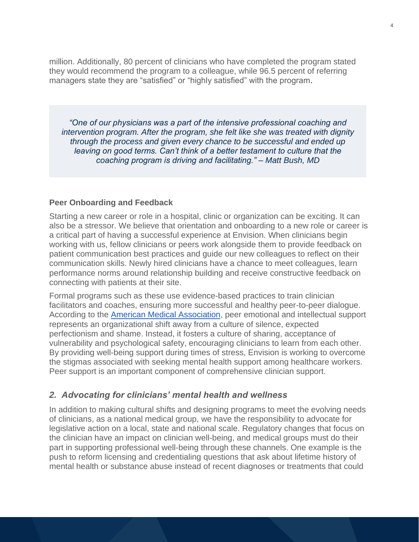million. Additionally, 80 percent of clinicians who have completed the program stated they would recommend the program to a colleague, while 96.5 percent of referring managers state they are "satisfied" or "highly satisfied" with the program.

*"One of our physicians was a part of the intensive professional coaching and intervention program. After the program, she felt like she was treated with dignity through the process and given every chance to be successful and ended up leaving on good terms. Can't think of a better testament to culture that the coaching program is driving and facilitating." – Matt Bush, MD*

#### **Peer Onboarding and Feedback**

Starting a new career or role in a hospital, clinic or organization can be exciting. It can also be a stressor. We believe that orientation and onboarding to a new role or career is a critical part of having a successful experience at Envision. When clinicians begin working with us, fellow clinicians or peers work alongside them to provide feedback on patient communication best practices and guide our new colleagues to reflect on their communication skills. Newly hired clinicians have a chance to meet colleagues, learn performance norms around relationship building and receive constructive feedback on connecting with patients at their site.

Formal programs such as these use evidence-based practices to train clinician facilitators and coaches, ensuring more successful and healthy peer-to-peer dialogue. According to the [American Medical Association,](https://edhub.ama-assn.org/steps-forward/module/2767766) peer emotional and intellectual support represents an organizational shift away from a culture of silence, expected perfectionism and shame. Instead, it fosters a culture of sharing, acceptance of vulnerability and psychological safety, encouraging clinicians to learn from each other. By providing well-being support during times of stress, Envision is working to overcome the stigmas associated with seeking mental health support among healthcare workers. Peer support is an important component of comprehensive clinician support.

#### *2. Advocating for clinicians' mental health and wellness*

In addition to making cultural shifts and designing programs to meet the evolving needs of clinicians, as a national medical group, we have the responsibility to advocate for legislative action on a local, state and national scale. Regulatory changes that focus on the clinician have an impact on clinician well-being, and medical groups must do their part in supporting professional well-being through these channels. One example is the push to reform licensing and credentialing questions that ask about lifetime history of mental health or substance abuse instead of recent diagnoses or treatments that could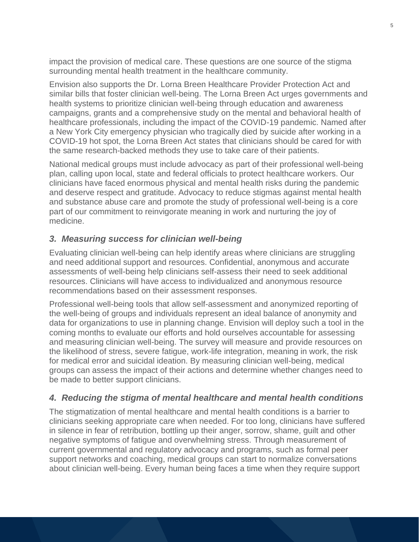impact the provision of medical care. These questions are one source of the stigma surrounding mental health treatment in the healthcare community.

Envision also supports the Dr. Lorna Breen Healthcare Provider Protection Act and similar bills that foster clinician well-being. The Lorna Breen Act urges governments and health systems to prioritize clinician well-being through education and awareness campaigns, grants and a comprehensive study on the mental and behavioral health of healthcare professionals, including the impact of the COVID-19 pandemic. Named after a New York City emergency physician who tragically died by suicide after working in a COVID-19 hot spot, the Lorna Breen Act states that clinicians should be cared for with the same research-backed methods they use to take care of their patients.

National medical groups must include advocacy as part of their professional well-being plan, calling upon local, state and federal officials to protect healthcare workers. Our clinicians have faced enormous physical and mental health risks during the pandemic and deserve respect and gratitude. Advocacy to reduce stigmas against mental health and substance abuse care and promote the study of professional well-being is a core part of our commitment to reinvigorate meaning in work and nurturing the joy of medicine.

### *3. Measuring success for clinician well-being*

Evaluating clinician well-being can help identify areas where clinicians are struggling and need additional support and resources. Confidential, anonymous and accurate assessments of well-being help clinicians self-assess their need to seek additional resources. Clinicians will have access to individualized and anonymous resource recommendations based on their assessment responses.

Professional well-being tools that allow self-assessment and anonymized reporting of the well-being of groups and individuals represent an ideal balance of anonymity and data for organizations to use in planning change. Envision will deploy such a tool in the coming months to evaluate our efforts and hold ourselves accountable for assessing and measuring clinician well-being. The survey will measure and provide resources on the likelihood of stress, severe fatigue, work-life integration, meaning in work, the risk for medical error and suicidal ideation. By measuring clinician well-being, medical groups can assess the impact of their actions and determine whether changes need to be made to better support clinicians.

### *4. Reducing the stigma of mental healthcare and mental health conditions*

The stigmatization of mental healthcare and mental health conditions is a barrier to clinicians seeking appropriate care when needed. For too long, clinicians have suffered in silence in fear of retribution, bottling up their anger, sorrow, shame, guilt and other negative symptoms of fatigue and overwhelming stress. Through measurement of current governmental and regulatory advocacy and programs, such as formal peer support networks and coaching, medical groups can start to normalize conversations about clinician well-being. Every human being faces a time when they require support